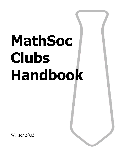# **MathSoc Clubs Handbook**

Winter 2003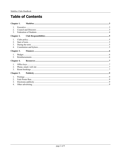# **Table of Contents**

| Chapter 1.        |            |
|-------------------|------------|
| <b>Chapter 2.</b> |            |
|                   |            |
|                   |            |
|                   |            |
| Chapter 4.        |            |
|                   |            |
|                   |            |
|                   |            |
|                   | Chapter 3. |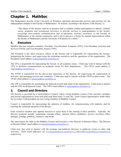# **Chapter 1. MathSoc**

The Mathematics Society of the University of Waterloo represents and provides services and activities for the undergraduate students in the Faculty of Mathematics. Its mission, according to the Bylaws of the Society, is:

"The object of the Society shall be to promote and co-ordinate student participation in athletic, cultural, social, academic and recreational activities; to provide services to undergraduates in the faculty; encourage inter-student communication and co-operation; increase awareness of the Faculty of Mathematics in the outside community; and to aid in and give a forum for student representation within the faculty of Mathematics and the University of Waterloo as a whole."

#### **1. Executive**

MathSoc has four executive members: President, Vice-President, Academic (VPA), Vice-President, Activities and Services (VPAS), and Vice-President, Finance (VPF).

The President is the chief executive officer of the Society and is responsible for representing the Society, interpreting the bylaws, and supervising the remaining executives and the operations of the organization. The President's email address is **pres@mathsoc.uwaterloo.ca.** 

The VPA is responsible for representing the Society on all academic issues. Clubs may wish to interact with the VPA to facilitate communication on academic issues for their departments. The VPA's email address is vpa@mathsoc.uwaterloo.ca.

The VPAS is responsible for the day-to-day operations of the Society, for supervising the organization of activities, and managing services and volunteers. Clubs may need to interact with the VPAS to plan events. The VPAS' email address is vpas@mathsoc.uwaterloo.ca.

The VPF is responsible for maintaining the financial records and assets of the organization. Clubs need to interact with the VPF on all financial issues. The VPF's email address is  $vpf@math>mathcong c.u.$ 

## **2. Council and Directors**

The Society is governed by a representative Council, whose voting members consist of the executive members and elected representatives from each plan (and from terms 1A and 1B). Each Council representative holds office for two terms. Club presidents are non-voting members of MathSoc Council.

Council is responsible for representing the opinions of students, for communicating with students, and for ensuring the continued operation of the Society.

Each executive member may appoint directors to assist them in the running of their portfolio. Typically, the director positions include: computing, external affairs, internal affairs, mathletics, movies, novelties, office manager, postings, publicity, resources, and social.

The main liaison for clubs to the MathSoc Council and Executive is the Director of Internal Affairs. The Director of Internal Affairs' email address is internal@mathsoc.uwaterloo.ca.

Clubs may also wish to interact with the postings and publicity directors to publicize events or other club activities. Their email addresses are posting@mathsoc.uwaterloo.ca and publicity@mathsoc.uwaterloo.ca respectively.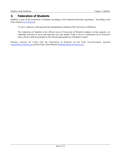#### **3. Federation of Students**

MathSoc is part of the Federation of Students according to the Federation-Societies agreement. According to the Feds website (www.feds.ca),

To serve, empower, and represent the undergraduate students of the University of Waterloo.

The Federation of Students is the official voice of University of Waterloo students. In that capacity, we undertake activities to serve and represent you, the student. Feds is run as a corporation by an executive team, which is held accountable by the elected representatives of Student Council.

Primary contacts for Clubs with the Federation of Students are the Feds Vice-President, Internal (vpin@feds.uwaterloo.ca) and the Feds Clubs Director (fedclubs@feds.uwaterloo.ca).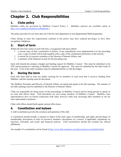# **Chapter 2. Club Responsibilities**

## **1. Clubs policy**

MathSoc clubs are governed by MathSoc Council Policy 3. (MathSoc policies are available online at http://www.mathsoc.uwaterloo.ca/Pinkbook.)

The policy provides for not more than one Club for each department or non-departmental Math programme.

Clubs failing to meet the requirements outlined in the policy may have reduced privileges or have their recognition withdrawn.

## **2. Start of term**

Within the first four weeks of each Fall term, a recognized Club must submit:

- 1. a current copy of their constitution or bylaws, if any amendments were implemented over the preceding year, a copy of which will be kept together with a copy of the constitution and bylaws of the Society;
- 2. a current list of executive members to the Director of Internal Affairs; and
- 3. a summary of the financial records for the preceding year.

Each club should also prepare a budget and funding request for MathSoc Council. This must be submitted to the VPF and presented at a meeting of MathSoc Council for approval. This must be submitted by the third week of the term. A list of the club's members must be submitted before or with the budget.

#### **3. During the term**

Each club must hold at least one public meeting for its members in each term that it receives funding from MathSoc, and this meeting must be advertised.

The MathSoc President and Director of Internal Affairs can attend and speak at all club meetings. The minutes of all clubs meetings must be submitted to the Director of Internal Affairs.

Clubs are responsible for being aware of the proceedings of MathSoc Council and for being present to speak on an issue that affects them. Club presidents are non-voting members of MathSoc Council. MathSoc class representatives have no formal connection with clubs, however clubs may encourage their members to run for class representative positions.

Clubs with offices should hold regular, posted office hours.

## **4. Constitution and bylaws**

A club's constitution governs the existence and operation of the club.

A constitution should include: a mission or object of the club; types of membership, and rights and privileges of membership; description of roles of executive members; description of a council, if applicable; regulations on elections, referenda, and recall; and financial policies. Club constitutions should also include any official affiliations.

An example of a constitution can be found at http://www.feds.uwaterloo.ca/clubs/resources/constitution.html.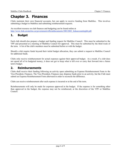# **Chapter 3. Finances**

Clubs maintain their own financial accounts, but can apply to receive funding from MathSoc. This involves submitting a budget to MathSoc and submitting reimbursement requests.

An excellent resource on club finances and budgeting can be found online at http://www.feds.uwaterloo.ca/government/officialdocuments/20012002\_fedsaccountinghb.pdf.

## **1. Budget**

Each club should also prepare a budget and funding request for MathSoc Council. This must be submitted to the VPF and presented at a meeting of MathSoc Council for approval. This must be submitted by the third week of the term. A list of the club's members must be submitted before or with the budget.

Should a club require funds beyond their initial budget allocation, they can submit a request to MathSoc Council for additional funds.

Clubs only receive reimbursement for actual expenses against their approved budget. As a result, if a club does not spend all of its budgeted money, it does not get to keep what is left over or carry that forward into a future term's budget.

#### **2. Reimbursements**

Clubs shall receive their funding following an activity upon submitting an Expense Reimbursement Form to the Vice-President, Finances. The Vice-President, Finances may dispense funds prior to an activity, but the Club must submit an Expense Reimbursement Form afterward in order to reconcile the difference.

Clubs can receive reimbursement after each expense is incurred or at the end of the term.

Reimbursements will only be made for expenses approved in the budget. If the expense is for something other than approved in the budget, the expense may not be reimbursed, at the discretion of the VPF or MathSoc Council.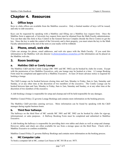# **Chapter 4. Resources**

## **1. Office keys**

Keys to clubs offices are available from the MathSoc executive. Only a limited number of keys will be issued, and only to club executive.

Keys can be requested by speaking with a MathSoc and filling out a MathSoc key request form. Once the MathSoc form is approved, a University key request form must be obtained from the Math Faculty administration. You can then take this form to Key Control in the General Services Complex (beside the Davis Centre) to get the key. Since the key is under the control of the University and is their property, you must return the key to the Math Faculty administration at the end of the term or your marks will be withheld.

#### **2. Phone, email, web site**

Clubs can arrange for phone, email addresses, and web site space with the Math Faculty. If you send this information to the MathSoc web site director (website@mathsoc.uwaterloo.ca) the information can be placed on the MathSoc web site.

#### **3. Room bookings**

#### **a. MathSoc C&D or Comfy Lounge**

The MathSoc C&D and the Comfy Lounge (MC 3001 and MC 3002) can be booked by clubs for events. Except with the permission of two MathSoc Executives, only one lounge may be booked at a time. A Lounge Booking Form must be completed and approved by a MathSoc Executive. At least 24 hours advance notice is required for booking a lounge.

The C&D Lounge can be booked between closing time and 2am, Monday to Friday, 8am to 2am, Saturday and Sunday, or at any other time at the discretion of two members of the executive. The Comfy Lounge can be booked between 6pm and 2am, Monday to Friday, 8am to 2am, Saturday and Sunday, or at any other time at the discretion of two members of the executive.

A club booking a lounge is responsible for setup and cleanup and will be held responsible for any damages.

MathSoc Council Policy 22 governs Lounge Bookings and contains more information on the booking process.

The MathSoc C&D provides catering services. More information can be found by speaking with the C&D manager during regular business hours.

#### **b. Third floor hallways**

The hallways on the third floor of MC outside MC 3001 and MC 3002 can be booked by clubs for sign-up, informational, or sales purposes. A Hallway Booking Form must be completed and submitted to MathSoc Executive.

A club booking the hallways is responsible for providing their own tables and chairs as well as setup and cleanup. However, tables and chairs are often available for use from a storage space on the third floor. Check with a MathSoc Executive to confirm availability.

MathSoc Council Policy 21 governs Hallway Bookings and contains more information on the booking process.

#### **c. MC Computer Labs**

To book a computer lab in MC, contact Lori Seuss in MC 3011B at ext. 5075.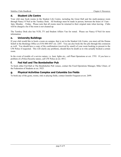#### **d. Student Life Centre**

Your club may book rooms in the Student Life Centre, including the Great Hall and the multi-purpose room through Nancy O'Neil at the Turnkey Desk. All bookings must be made in person, between the hours of 11am – 3pm, Monday – Friday. Please note that all rooms must be returned to their original state when leaving. Clubs will be charged a fee if the room is not cleaned up.

The Turnkey Desk also has VCR, TV and Student Affairs Van for rental. Please see Nancy O'Neil for more information

#### **e. University Buildings**

If your club would like to book a room on campus, that is not in the Student Life Centre, you must call the Donna Schell in the Bookings Office at (519) 888-4567 ext. 2207. You can also book the fire pits through this extension as well. You should have a copy of the confirmation (received by email) of your room booking to present to the UW Police if requested. This will clarify any problems, should there be doubt as to who actually booked a certain room.

In the event of trouble of a service nature, i.e. heat, lights etc., call Plant Operations at ext. 3793. If you have a problem of a Police/Security nature, call UW Police at ext. 4911.

#### **f. Fed Hall and The Bombshelter Pub**

To book either Fed Hall or The Bombshelter Pub venues, contact the Food Operations Manager, Mike Ulmer, of the Federation of Students at ext. 5925.

#### **g. Physical Activities Complex and Columbia Ice Fields**

To book any of the gyms, rooms, rink or playing fields, contact Jennifer Ferguson at ext. 2699.